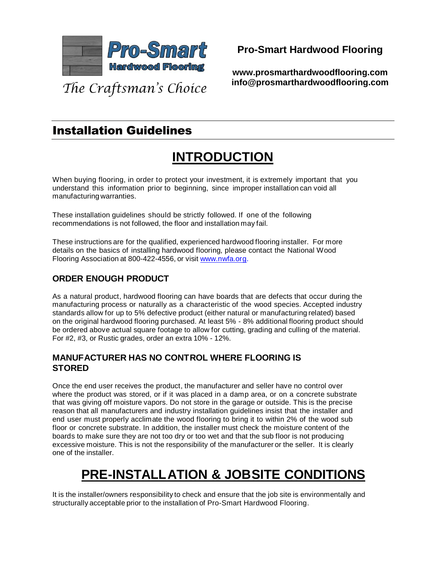

**Pro-Smart Hardwood Flooring**

**www.prosmarthardwoodflooring.com info@prosmarthardwoodflooring.com**

# Installation Guidelines

# **INTRODUCTION**

When buying flooring, in order to protect your investment, it is extremely important that you understand this information prior to beginning, since improper installation can void all manufacturing warranties.

These installation guidelines should be strictly followed. If one of the following recommendations is not followed, the floor and installation may fail.

These instructions are for the qualified, experienced hardwood flooring installer. For more details on the basics of installing hardwood flooring, please contact the National Wood Flooring Association at 800-422-4556, or visit www.nwfa.org.

### **ORDER ENOUGH PRODUCT**

As a natural product, hardwood flooring can have boards that are defects that occur during the manufacturing process or naturally as a characteristic of the wood species. Accepted industry standards allow for up to 5% defective product (either natural or manufacturing related) based on the original hardwood flooring purchased. At least 5% - 8% additional flooring product should be ordered above actual square footage to allow for cutting, grading and culling of the material. For #2, #3, or Rustic grades, order an extra 10% - 12%.

### **MANUFACTURER HAS NO CONTROL WHERE FLOORING IS STORED**

Once the end user receives the product, the manufacturer and seller have no control over where the product was stored, or if it was placed in a damp area, or on a concrete substrate that was giving off moisture vapors. Do not store in the garage or outside. This is the precise reason that all manufacturers and industry installation guidelines insist that the installer and end user must properly acclimate the wood flooring to bring it to within 2% of the wood sub floor or concrete substrate. In addition, the installer must check the moisture content of the boards to make sure they are not too dry or too wet and that the sub floor is not producing excessive moisture. This is not the responsibility of the manufacturer or the seller. It is clearly one of the installer.

# **PRE-INSTALLATION & JOBSITE CONDITIONS**

It is the installer/owners responsibility to check and ensure that the job site is environmentally and structurally acceptable prior to the installation of Pro-Smart Hardwood Flooring.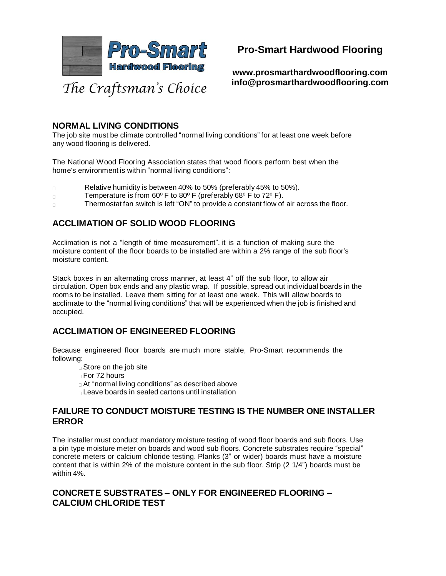

**www.prosmarthardwoodflooring.com info@prosmarthardwoodflooring.com**

### **NORMAL LIVING CONDITIONS**

The job site must be climate controlled "normal living conditions" for at least one week before any wood flooring is delivered.

The National Wood Flooring Association states that wood floors perform best when the home's environment is within "normal living conditions":

- Relative humidity is between 40% to 50% (preferably 45% to 50%).  $\Box$
- Temperature is from 60º F to 80º F (preferably 68º F to 72º F).  $\Box$
- Thermostat fan switch is left "ON" to provide a constant flow of air across the floor.  $\Box$

### **ACCLIMATION OF SOLID WOOD FLOORING**

Acclimation is not a "length of time measurement", it is a function of making sure the moisture content of the floor boards to be installed are within a 2% range of the sub floor's moisture content.

Stack boxes in an alternating cross manner, at least 4" off the sub floor, to allow air circulation. Open box ends and any plastic wrap. If possible, spread out individual boards in the rooms to be installed. Leave them sitting for at least one week. This will allow boards to acclimate to the "normal living conditions" that will be experienced when the job is finished and occupied.

### **ACCLIMATION OF ENGINEERED FLOORING**

Because engineered floor boards are much more stable, Pro-Smart recommends the following:

- □ Store on the job site
- For 72 hours
- At "normal living conditions" as described above
- Leave boards in sealed cartons until installation

### **FAILURE TO CONDUCT MOISTURE TESTING IS THE NUMBER ONE INSTALLER ERROR**

The installer must conduct mandatory moisture testing of wood floor boards and sub floors. Use a pin type moisture meter on boards and wood sub floors. Concrete substrates require "special" concrete meters or calcium chloride testing. Planks (3" or wider) boards must have a moisture content that is within 2% of the moisture content in the sub floor. Strip (2 1/4") boards must be within 4%.

### **CONCRETE SUBSTRATES – ONLY FOR ENGINEERED FLOORING – CALCIUM CHLORIDE TEST**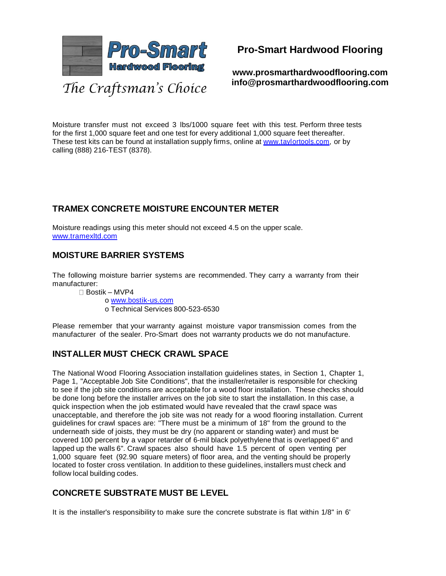

**www.prosmarthardwoodflooring.com info@prosmarthardwoodflooring.com**

Moisture transfer must not exceed 3 lbs/1000 square feet with this test. Perform three tests for the first 1,000 square feet and one test for every additional 1,000 square feet thereafter. These test kits can be found at installation supply firms, online at [www.taylortools.com,](http://www.taylortools.com/) or by calling (888) 216-TEST (8378).

### **TRAMEX CONCRETE MOISTURE ENCOUNTER METER**

Moisture readings using this meter should not exceed 4.5 on the upper scale. [www.tramexltd.com](http://www.tramexltd.com/)

### **MOISTURE BARRIER SYSTEMS**

The following moisture barrier systems are recommended. They carry a warranty from their manufacturer:

Bostik – MVP4

o [www.bostik-us.com](http://www.bostik-us.com/) o Technical Services 800-523-6530

Please remember that your warranty against moisture vapor transmission comes from the manufacturer of the sealer. Pro-Smart does not warranty products we do not manufacture.

### **INSTALLER MUST CHECK CRAWL SPACE**

The National Wood Flooring Association installation guidelines states, in Section 1, Chapter 1, Page 1, "Acceptable Job Site Conditions", that the installer/retailer is responsible for checking to see if the job site conditions are acceptable for a wood floor installation. These checks should be done long before the installer arrives on the job site to start the installation. In this case, a quick inspection when the job estimated would have revealed that the crawl space was unacceptable, and therefore the job site was not ready for a wood flooring installation. Current guidelines for crawl spaces are: "There must be a minimum of 18" from the ground to the underneath side of joists, they must be dry (no apparent or standing water) and must be covered 100 percent by a vapor retarder of 6-mil black polyethylene that is overlapped 6" and lapped up the walls 6". Crawl spaces also should have 1.5 percent of open venting per 1,000 square feet (92.90 square meters) of floor area, and the venting should be properly located to foster cross ventilation. In addition to these guidelines, installers must check and follow local building codes.

### **CONCRETE SUBSTRATE MUST BE LEVEL**

It is the installer's responsibility to make sure the concrete substrate is flat within 1/8" in 6'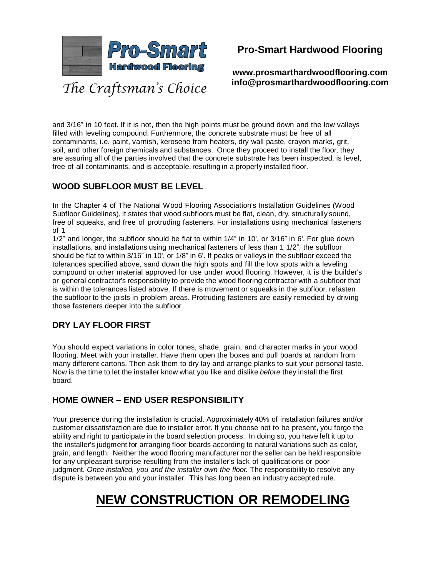

**www.prosmarthardwoodflooring.com info@prosmarthardwoodflooring.com**

and 3/16" in 10 feet. If it is not, then the high points must be ground down and the low valleys filled with leveling compound. Furthermore, the concrete substrate must be free of all contaminants, i.e. paint, varnish, kerosene from heaters, dry wall paste, crayon marks, grit, soil, and other foreign chemicals and substances. Once they proceed to install the floor, they are assuring all of the parties involved that the concrete substrate has been inspected, is level, free of all contaminants, and is acceptable, resulting in a properly installed floor.

### **WOOD SUBFLOOR MUST BE LEVEL**

In the Chapter 4 of The National Wood Flooring Association's Installation Guidelines (Wood Subfloor Guidelines), it states that wood subfloors must be flat, clean, dry, structurally sound, free of squeaks, and free of protruding fasteners. For installations using mechanical fasteners of 1

1/2" and longer, the subfloor should be flat to within 1/4" in 10', or 3/16" in 6'. For glue down installations, and installations using mechanical fasteners of less than 1 1/2", the subfloor should be flat to within 3/16" in 10', or 1/8" in 6'. If peaks or valleys in the subfloor exceed the tolerances specified above, sand down the high spots and fill the low spots with a leveling compound or other material approved for use under wood flooring. However, it is the builder's or general contractor's responsibility to provide the wood flooring contractor with a subfloor that is within the tolerances listed above. If there is movement or squeaks in the subfloor, refasten the subfloor to the joists in problem areas. Protruding fasteners are easily remedied by driving those fasteners deeper into the subfloor.

### **DRY LAY FLOOR FIRST**

You should expect variations in color tones, shade, grain, and character marks in your wood flooring. Meet with your installer. Have them open the boxes and pull boards at random from many different cartons. Then ask them to dry lay and arrange planks to suit your personal taste. Now is the time to let the installer know what you like and dislike *before* they install the first board.

### **HOME OWNER – END USER RESPONSIBILITY**

Your presence during the installation is crucial. Approximately 40% of installation failures and/or customer dissatisfaction are due to installer error. If you choose not to be present, you forgo the ability and right to participate in the board selection process. In doing so, you have left it up to the installer's judgment for arranging floor boards according to natural variations such as color, grain, and length. Neither the wood flooring manufacturer nor the seller can be held responsible for any unpleasant surprise resulting from the installer's lack of qualifications or poor judgment. *Once installed, you and the installer own the floor.* The responsibility to resolve any dispute is between you and your installer. This has long been an industry accepted rule.

# **NEW CONSTRUCTION OR REMODELING**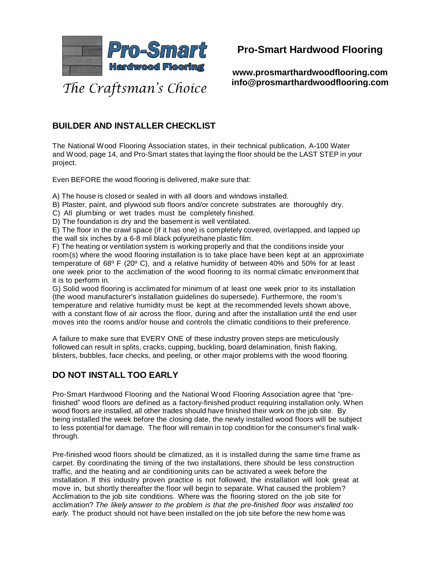

**www.prosmarthardwoodflooring.com info@prosmarthardwoodflooring.com**

### **BUILDER AND INSTALLER CHECKLIST**

The National Wood Flooring Association states, in their technical publication, A-100 Water and Wood, page 14, and Pro-Smart states that laying the floor should be the LAST STEP in your project.

Even BEFORE the wood flooring is delivered, make sure that:

A) The house is closed or sealed in with all doors and windows installed.

- B) Plaster, paint, and plywood sub floors and/or concrete substrates are thoroughly dry.
- C) All plumbing or wet trades must be completely finished.
- D) The foundation is dry and the basement is well ventilated.

E) The floor in the crawl space (if it has one) is completely covered, overlapped, and lapped up the wall six inches by a 6-8 mil black polyurethane plastic film.

F) The heating or ventilation system is working properly and that the conditions inside your room(s) where the wood flooring installation is to take place have been kept at an approximate temperature of 68º F (20º C), and a relative humidity of between 40% and 50% for at least one week prior to the acclimation of the wood flooring to its normal climatic environment that it is to perform in.

G) Solid wood flooring is acclimated for minimum of at least one week prior to its installation (the wood manufacturer's installation guidelines do supersede). Furthermore, the room's temperature and relative humidity must be kept at the recommended levels shown above, with a constant flow of air across the floor, during and after the installation until the end user moves into the rooms and/or house and controls the climatic conditions to their preference.

A failure to make sure that EVERY ONE of these industry proven steps are meticulously followed can result in splits, cracks, cupping, buckling, board delamination, finish flaking, blisters, bubbles, face checks, and peeling, or other major problems with the wood flooring.

### **DO NOT INSTALL TOO EARLY**

Pro-Smart Hardwood Flooring and the National Wood Flooring Association agree that "prefinished" wood floors are defined as a factory-finished product requiring installation only. When wood floors are installed, all other trades should have finished their work on the job site. By being installed the week before the closing date, the newly installed wood floors will be subject to less potential for damage. The floor will remain in top condition for the consumer's final walkthrough.

Pre-finished wood floors should be climatized, as it is installed during the same time frame as carpet. By coordinating the timing of the two installations, there should be less construction traffic, and the heating and air conditioning units can be activated a week before the installation. If this industry proven practice is not followed, the installation will look great at move in, but shortly thereafter the floor will begin to separate. What caused the problem? Acclimation to the job site conditions. Where was the flooring stored on the job site for acclimation? *The likely answer to the problem is that the pre-finished floor was installed too early.* The product should not have been installed on the job site before the new home was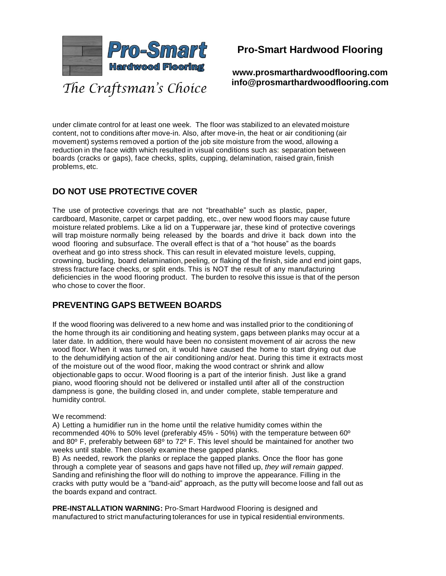

**www.prosmarthardwoodflooring.com info@prosmarthardwoodflooring.com**

under climate control for at least one week. The floor was stabilized to an elevated moisture content, not to conditions after move-in. Also, after move-in, the heat or air conditioning (air movement) systems removed a portion of the job site moisture from the wood, allowing a reduction in the face width which resulted in visual conditions such as: separation between boards (cracks or gaps), face checks, splits, cupping, delamination, raised grain, finish problems, etc.

### **DO NOT USE PROTECTIVE COVER**

The use of protective coverings that are not "breathable" such as plastic, paper, cardboard, Masonite, carpet or carpet padding, etc., over new wood floors may cause future moisture related problems. Like a lid on a Tupperware jar, these kind of protective coverings will trap moisture normally being released by the boards and drive it back down into the wood flooring and subsurface. The overall effect is that of a "hot house" as the boards overheat and go into stress shock. This can result in elevated moisture levels, cupping, crowning, buckling, board delamination, peeling, or flaking of the finish, side and end joint gaps, stress fracture face checks, or split ends. This is NOT the result of any manufacturing deficiencies in the wood flooring product. The burden to resolve this issue is that of the person who chose to cover the floor.

### **PREVENTING GAPS BETWEEN BOARDS**

If the wood flooring was delivered to a new home and was installed prior to the conditioning of the home through its air conditioning and heating system, gaps between planks may occur at a later date. In addition, there would have been no consistent movement of air across the new wood floor. When it was turned on, it would have caused the home to start drying out due to the dehumidifying action of the air conditioning and/or heat. During this time it extracts most of the moisture out of the wood floor, making the wood contract or shrink and allow objectionable gaps to occur. Wood flooring is a part of the interior finish. Just like a grand piano, wood flooring should not be delivered or installed until after all of the construction dampness is gone, the building closed in, and under complete, stable temperature and humidity control.

#### We recommend:

A) Letting a humidifier run in the home until the relative humidity comes within the recommended 40% to 50% level (preferably 45% - 50%) with the temperature between 60º and 80 $^{\circ}$  F, preferably between 68 $^{\circ}$  to 72 $^{\circ}$  F. This level should be maintained for another two weeks until stable. Then closely examine these gapped planks.

B) As needed, rework the planks or replace the gapped planks. Once the floor has gone through a complete year of seasons and gaps have not filled up, *they will remain gapped*. Sanding and refinishing the floor will do nothing to improve the appearance. Filling in the cracks with putty would be a "band-aid" approach, as the putty will become loose and fall out as the boards expand and contract.

**PRE-INSTALLATION WARNING:** Pro-Smart Hardwood Flooring is designed and manufactured to strict manufacturing tolerances for use in typical residential environments.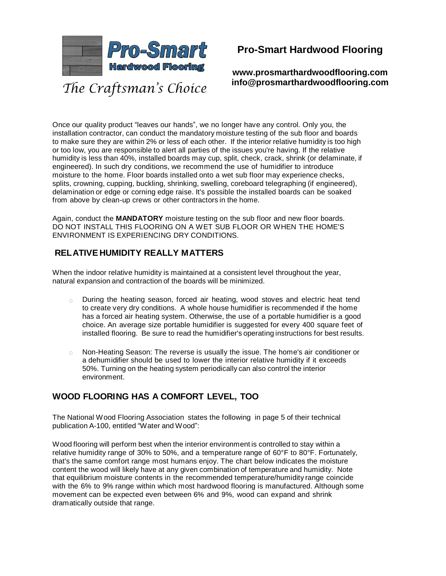

**www.prosmarthardwoodflooring.com info@prosmarthardwoodflooring.com**

Once our quality product "leaves our hands", we no longer have any control. Only you, the installation contractor, can conduct the mandatory moisture testing of the sub floor and boards to make sure they are within 2% or less of each other. If the interior relative humidity is too high or too low, you are responsible to alert all parties of the issues you're having. If the relative humidity is less than 40%, installed boards may cup, split, check, crack, shrink (or delaminate, if engineered). In such dry conditions, we recommend the use of humidifier to introduce moisture to the home. Floor boards installed onto a wet sub floor may experience checks, splits, crowning, cupping, buckling, shrinking, swelling, coreboard telegraphing (if engineered), delamination or edge or corning edge raise. It's possible the installed boards can be soaked from above by clean-up crews or other contractors in the home.

Again, conduct the **MANDATORY** moisture testing on the sub floor and new floor boards. DO NOT INSTALL THIS FLOORING ON A WET SUB FLOOR OR WHEN THE HOME'S ENVIRONMENT IS EXPERIENCING DRY CONDITIONS.

### **RELATIVE HUMIDITY REALLY MATTERS**

When the indoor relative humidity is maintained at a consistent level throughout the year, natural expansion and contraction of the boards will be minimized.

- During the heating season, forced air heating, wood stoves and electric heat tend  $\Box$ to create very dry conditions. A whole house humidifier is recommended if the home has a forced air heating system. Otherwise, the use of a portable humidifier is a good choice. An average size portable humidifier is suggested for every 400 square feet of installed flooring. Be sure to read the humidifier's operating instructions for best results.
- Non-Heating Season: The reverse is usually the issue. The home's air conditioner or  $\Box$ a dehumidifier should be used to lower the interior relative humidity if it exceeds 50%. Turning on the heating system periodically can also control the interior environment.

### **WOOD FLOORING HAS A COMFORT LEVEL, TOO**

The National Wood Flooring Association states the following in page 5 of their technical publication A-100, entitled "Water and Wood":

Wood flooring will perform best when the interior environment is controlled to stay within a relative humidity range of 30% to 50%, and a temperature range of 60°F to 80°F. Fortunately, that's the same comfort range most humans enjoy. The chart below indicates the moisture content the wood will likely have at any given combination of temperature and humidity. Note that equilibrium moisture contents in the recommended temperature/humidity range coincide with the 6% to 9% range within which most hardwood flooring is manufactured. Although some movement can be expected even between 6% and 9%, wood can expand and shrink dramatically outside that range.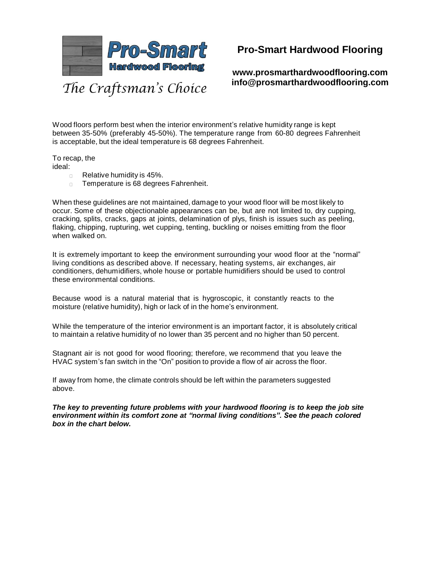

**www.prosmarthardwoodflooring.com info@prosmarthardwoodflooring.com**

Wood floors perform best when the interior environment's relative humidity range is kept between 35-50% (preferably 45-50%). The temperature range from 60-80 degrees Fahrenheit is acceptable, but the ideal temperature is 68 degrees Fahrenheit.

To recap, the

- ideal:
	- Relative humidity is 45%.  $\Box$
	- Temperature is 68 degrees Fahrenheit.  $\Box$

When these guidelines are not maintained, damage to your wood floor will be most likely to occur. Some of these objectionable appearances can be, but are not limited to, dry cupping, cracking, splits, cracks, gaps at joints, delamination of plys, finish is issues such as peeling, flaking, chipping, rupturing, wet cupping, tenting, buckling or noises emitting from the floor when walked on.

It is extremely important to keep the environment surrounding your wood floor at the "normal" living conditions as described above. If necessary, heating systems, air exchanges, air conditioners, dehumidifiers, whole house or portable humidifiers should be used to control these environmental conditions.

Because wood is a natural material that is hygroscopic, it constantly reacts to the moisture (relative humidity), high or lack of in the home's environment.

While the temperature of the interior environment is an important factor, it is absolutely critical to maintain a relative humidity of no lower than 35 percent and no higher than 50 percent.

Stagnant air is not good for wood flooring; therefore, we recommend that you leave the HVAC system's fan switch in the "On" position to provide a flow of air across the floor.

If away from home, the climate controls should be left within the parameters suggested above.

*The key to preventing future problems with your hardwood flooring is to keep the job site environment within its comfort zone at "normal living conditions". See the peach colored box in the chart below.*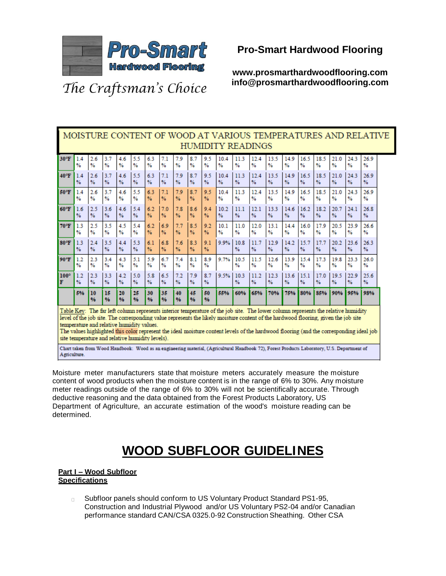

**www.prosmarthardwoodflooring.com info@prosmarthardwoodflooring.com**

# The Craftsman's Choice

|                | MOISTURE CONTENT OF WOOD AT VARIOUS TEMPERATURES AND RELATIVE<br><b>HUMIDITY READINGS</b>                                                                                                                                                                                                                                                                                                                                                                                                                                                                                                                                                                                         |               |           |           |               |               |                      |               |                      |               |               |               |           |                       |           |               |           |           |                       |           |
|----------------|-----------------------------------------------------------------------------------------------------------------------------------------------------------------------------------------------------------------------------------------------------------------------------------------------------------------------------------------------------------------------------------------------------------------------------------------------------------------------------------------------------------------------------------------------------------------------------------------------------------------------------------------------------------------------------------|---------------|-----------|-----------|---------------|---------------|----------------------|---------------|----------------------|---------------|---------------|---------------|-----------|-----------------------|-----------|---------------|-----------|-----------|-----------------------|-----------|
| $30^{\circ}$ F | 1.4                                                                                                                                                                                                                                                                                                                                                                                                                                                                                                                                                                                                                                                                               | 2.6           | 3.7       | 4.6       | 5.5           | 6.3           | 7.1                  | 7.9           | 8.7                  | 9.5           | 104           | 11.3          | 12.4      | 13.5                  | 14.9      | 16.5          | 18.5      | 21.0      | 24.3                  | 26.9      |
|                | %                                                                                                                                                                                                                                                                                                                                                                                                                                                                                                                                                                                                                                                                                 | %             | %         | %         | %             | %             | %                    | ℁             | %                    | %             | $\frac{9}{6}$ | %             | %         | %                     | %         | %             | ℁         | %         | %                     | %         |
| 40°F           | 1.4                                                                                                                                                                                                                                                                                                                                                                                                                                                                                                                                                                                                                                                                               | 2.6           | 3.7       | 4.6       | 5.5           | 6.3           | 7.1                  | 7.9           | 8.7                  | 9.5           | 10.4          | 11.3          | 12.4      | 13.5                  | 14.9      | 16.5          | 18.5      | 21.0      | 24.3                  | 26.9      |
|                | %                                                                                                                                                                                                                                                                                                                                                                                                                                                                                                                                                                                                                                                                                 | $\frac{9}{6}$ | %         | %         | %             | %             | %                    | %             | $\frac{9}{6}$        | $\frac{9}{6}$ | $\frac{9}{6}$ | $\%$          | %         | $\frac{9}{6}$         | %         | $\frac{9}{6}$ | %         | %         | %                     | %         |
| 50°F           | 1.4                                                                                                                                                                                                                                                                                                                                                                                                                                                                                                                                                                                                                                                                               | 2.6           | 3.7       | 4.6       | 5.5           | 6.3           | 7.1                  | 7.9           | 8.7                  | 9.5           | 10.4          | 11.3          | 12.4      | 13.5                  | 14.9      | 16.5          | 18.5      | 21.0      | 24.3                  | 26.9      |
|                | %                                                                                                                                                                                                                                                                                                                                                                                                                                                                                                                                                                                                                                                                                 | %             | %         | %         | %             | %             | %                    | %             | %                    | $\frac{9}{6}$ | $\frac{9}{6}$ | %             | %         | %                     | %         | %             | ℁         | %         | %                     | %         |
| 60°F           | 1.6                                                                                                                                                                                                                                                                                                                                                                                                                                                                                                                                                                                                                                                                               | 2.5           | 3.6       | 4.6       | 5.4           | 6.2           | 7.0                  | 7.8           | 8.6                  | 9.4           | 10.2          | 11.1          | 12.1      | 13.3                  | 14.6      | 16.2          | 18.2      | 20.7      | 24.1                  | 26.8      |
|                | %                                                                                                                                                                                                                                                                                                                                                                                                                                                                                                                                                                                                                                                                                 | $\frac{9}{6}$ | %         | %         | %             | $\frac{9}{6}$ | %                    | $\frac{9}{6}$ | $\frac{9}{6}$        | $\frac{9}{6}$ | $\frac{9}{6}$ | $\frac{9}{6}$ | %         | $\frac{9}{6}$         | %         | %             | %         | %         | $\frac{9}{4}$         | %         |
| $70^{\circ}$ F | 13                                                                                                                                                                                                                                                                                                                                                                                                                                                                                                                                                                                                                                                                                | 2.5           | 3.5       | 4.5       | 5.4           | 62            | 6.9                  | 7.7           | 8.5                  | 9.2           | 10.1          | 11.0          | 12.0      | 13.1                  | 144       | 16.0          | 17.9      | 20.5      | 23.9                  | 26.6      |
|                | %                                                                                                                                                                                                                                                                                                                                                                                                                                                                                                                                                                                                                                                                                 | $\%$          | %         | %         | $\frac{9}{6}$ | %             | %                    | %             | %                    | %             | %             | %             | %         | %                     | %         | %             | %         | %         | $\frac{9}{6}$         | %         |
| $80^{\circ}$ F | 1.3<br>%                                                                                                                                                                                                                                                                                                                                                                                                                                                                                                                                                                                                                                                                          | 2.4<br>%      | 3.5<br>%  | 4.4<br>%  | 5.3<br>%      | 61<br>%       | 6.8<br>$\frac{9}{6}$ | 7.6<br>%      | 8.3<br>$\frac{9}{6}$ | 9.1<br>%      | 9.9%          | 10.8<br>%     | 11.7<br>% | 12.9<br>$\frac{9}{6}$ | 14.2<br>% | 15.7<br>$\%$  | 17.7<br>% | 20.2<br>% | 23.6<br>$\frac{9}{6}$ | 263<br>%  |
| 90°F           | 1.2<br>$\frac{9}{6}$                                                                                                                                                                                                                                                                                                                                                                                                                                                                                                                                                                                                                                                              | 2.3<br>%      | 3.4<br>%  | 4.3<br>%  | 5.1<br>%      | 5.9<br>%      | 67<br>$\frac{9}{6}$  | 7.4<br>%      | 8.1<br>%             | 8.9<br>%      | 9.7%          | 10.5<br>%     | 11.5<br>% | 12.6<br>%             | 13.9<br>% | 15.4<br>%     | 173<br>%  | 19.8<br>% | 23.3<br>%             | 26.0<br>% |
| 100°           | 1.2                                                                                                                                                                                                                                                                                                                                                                                                                                                                                                                                                                                                                                                                               | 2.3           | 3.3       | 4.2       | 5.0           | 5.8           | 6.5                  | 7.2           | 7.9                  | 8.7           | 9.5%          | 10.3          | 11.2      | 12.3                  | 13.6      | 15.1          | 17.0      | 19.5      | 22.9                  | 25.6      |
| F              | %                                                                                                                                                                                                                                                                                                                                                                                                                                                                                                                                                                                                                                                                                 | %             | %         | %         | %             | %             | %                    | %             | %                    | $\frac{9}{6}$ |               | %             | %         | $\frac{9}{6}$         | %         | %             | %         | %         | %                     | %         |
|                | 5%                                                                                                                                                                                                                                                                                                                                                                                                                                                                                                                                                                                                                                                                                | 10<br>96      | 15<br>0/6 | 20<br>0/6 | 25<br>0/6     | 30<br>0/6     | 35<br>9/6            | 40<br>9/6     | 45<br>0/6            | 50<br>0/6     | 55%           | 60%           | 65%       | 70%                   | 75%       | 80%           | 85%       | 90%       | 95%                   | 98%       |
|                | Table Key: The far left column represents interior temperature of the job site. The lower column represents the relative humidity<br>level of the job site. The corresponding value represents the likely moisture content of the hardwood flooring, given the job site<br>temperature and relative humidity values.<br>The values highlighted this color represent the ideal moisture content levels of the hardwood flooring (and the corresponding ideal job<br>site temperature and relative humidity levels).<br>Chart taken from Wood Handbook: Wood as an engineering material, (Agricultural Handbook 72), Forest Products Laboratory, U.S. Department of<br>Agriculture. |               |           |           |               |               |                      |               |                      |               |               |               |           |                       |           |               |           |           |                       |           |

Moisture meter manufacturers state that moisture meters accurately measure the moisture content of wood products when the moisture content is in the range of 6% to 30%. Any moisture meter readings outside of the range of 6% to 30% will not be scientifically accurate. Through deductive reasoning and the data obtained from the Forest Products Laboratory, US Department of Agriculture, an accurate estimation of the wood's moisture reading can be determined.

# **WOOD SUBFLOOR GUIDELINES**

#### **Part I – Wood Subfloor Specifications**

 $\Box$ Subfloor panels should conform to US Voluntary Product Standard PS1-95, Construction and Industrial Plywood and/or US Voluntary PS2-04 and/or Canadian performance standard CAN/CSA 0325.0-92 Construction Sheathing. Other CSA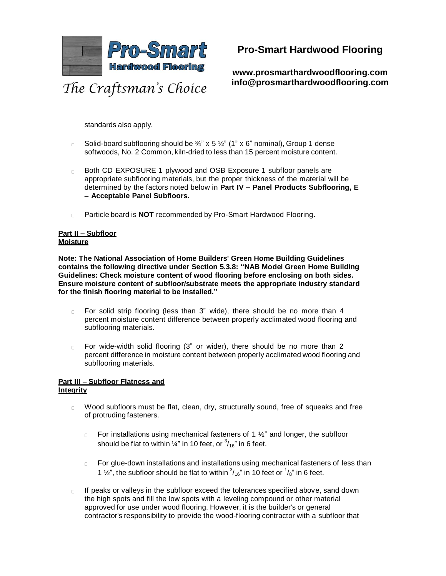

**www.prosmarthardwoodflooring.com info@prosmarthardwoodflooring.com**

standards also apply.

- Solid-board subflooring should be  $\frac{3}{4}$ " x 5  $\frac{1}{2}$ " (1" x 6" nominal), Group 1 dense  $\Box$ softwoods, No. 2 Common, kiln-dried to less than 15 percent moisture content.
- $\Box$ Both CD EXPOSURE 1 plywood and OSB Exposure 1 subfloor panels are appropriate subflooring materials, but the proper thickness of the material will be determined by the factors noted below in **Part IV – Panel Products Subflooring, E – Acceptable Panel Subfloors.**
- Particle board is **NOT** recommended by Pro-Smart Hardwood Flooring.

#### **Part II – Subfloor Moisture**

**Note: The National Association of Home Builders' Green Home Building Guidelines contains the following directive under Section 5.3.8: "NAB Model Green Home Building Guidelines: Check moisture content of wood flooring before enclosing on both sides. Ensure moisture content of subfloor/substrate meets the appropriate industry standard for the finish flooring material to be installed."**

- For solid strip flooring (less than 3" wide), there should be no more than 4  $\Box$ percent moisture content difference between properly acclimated wood flooring and subflooring materials.
- For wide-width solid flooring (3" or wider), there should be no more than 2  $\Box$ percent difference in moisture content between properly acclimated wood flooring and subflooring materials.

#### **Part III – Subfloor Flatness and Integrity**

- Wood subfloors must be flat, clean, dry, structurally sound, free of squeaks and free  $\Box$ of protruding fasteners.
	- For installations using mechanical fasteners of 1 ½" and longer, the subfloor  $\Box$ should be flat to within  $\%$  in 10 feet, or  $\frac{3}{16}$  in 6 feet.
	- For glue-down installations and installations using mechanical fasteners of less than  $\Box$ 1  $\frac{1}{2}$ , the subfloor should be flat to within  $\frac{3}{16}$  in 10 feet or  $\frac{1}{8}$  in 6 feet.
- If peaks or valleys in the subfloor exceed the tolerances specified above, sand down  $\Box$ the high spots and fill the low spots with a leveling compound or other material approved for use under wood flooring. However, it is the builder's or general contractor's responsibility to provide the wood-flooring contractor with a subfloor that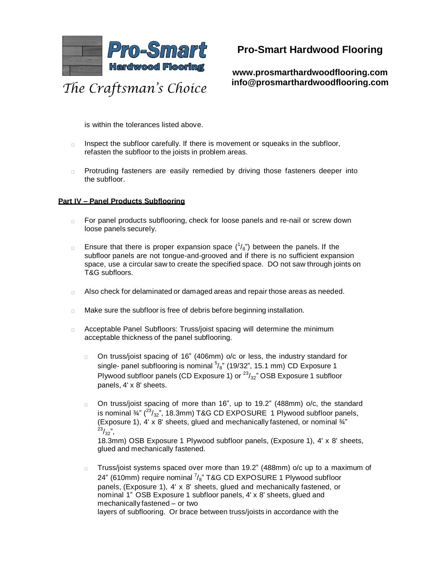

**www.prosmarthardwoodflooring.com info@prosmarthardwoodflooring.com**

is within the tolerances listed above.

- Inspect the subfloor carefully. If there is movement or squeaks in the subfloor,  $\Box$ refasten the subfloor to the joists in problem areas.
- Protruding fasteners are easily remedied by driving those fasteners deeper into  $\Box$ the subfloor.

#### **Part IV – Panel Products Subflooring**

- For panel products subflooring, check for loose panels and re-nail or screw down  $\Box$ loose panels securely.
- Ensure that there is proper expansion space  $(^1/s)$  between the panels. If the  $\Box$ subfloor panels are not tongue-and-grooved and if there is no sufficient expansion space, use a circular saw to create the specified space. DO not saw through joints on T&G subfloors.
- Also check for delaminated or damaged areas and repair those areas as needed.  $\Box$
- Make sure the subfloor is free of debris before beginning installation.  $\Box$
- Acceptable Panel Subfloors: Truss/joist spacing will determine the minimum  $\Box$ acceptable thickness of the panel subflooring.
	- On truss/joist spacing of 16" (406mm) o/c or less, the industry standard for  $\Box$ single- panel subflooring is nominal  $5/8$ " (19/32", 15.1 mm) CD Exposure 1 Plywood subfloor panels (CD Exposure 1) or  $^{23}/_{32}$ " OSB Exposure 1 subfloor panels, 4' x 8' sheets.
	- On truss/joist spacing of more than 16", up to 19.2" (488mm) o/c, the standard  $\Box$ is nominal  $\frac{3}{4}$ " ( $\frac{23}{32}$ ", 18.3mm) T&G CD EXPOSURE 1 Plywood subfloor panels, (Exposure 1), 4' x 8' sheets, glued and mechanically fastened, or nominal ¾"  $^{23}/_{32}$ ",

18.3mm) OSB Exposure 1 Plywood subfloor panels, (Exposure 1), 4' x 8' sheets, glued and mechanically fastened.

Truss/joist systems spaced over more than 19.2" (488mm) o/c up to a maximum of 24" (610mm) require nominal  $\frac{7}{8}$ " T&G CD EXPOSURE 1 Plywood subfloor panels, (Exposure 1), 4' x 8' sheets, glued and mechanically fastened, or nominal 1" OSB Exposure 1 subfloor panels, 4' x 8' sheets, glued and mechanically fastened – or two layers of subflooring. Or brace between truss/joists in accordance with the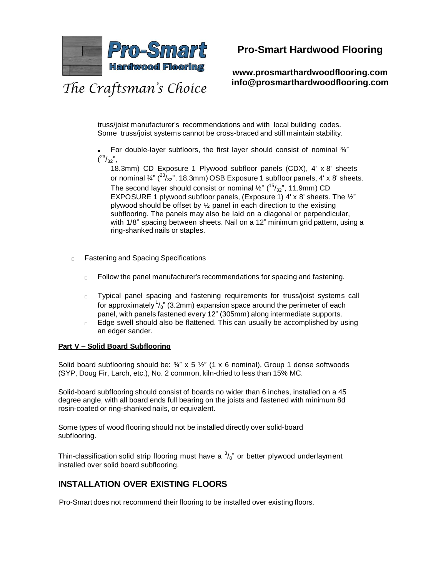

**www.prosmarthardwoodflooring.com info@prosmarthardwoodflooring.com**

truss/joist manufacturer's recommendations and with local building codes. Some truss/joist systems cannot be cross-braced and still maintain stability.

For double-layer subfloors, the first layer should consist of nominal  $\frac{3}{4}$ "  $\binom{23}{32}$ ",

18.3mm) CD Exposure 1 Plywood subfloor panels (CDX), 4' x 8' sheets or nominal  $\frac{3}{4}$ " ( $\frac{23}{32}$ ", 18.3mm) OSB Exposure 1 subfloor panels, 4' x 8' sheets. The second layer should consist or nominal ½" ( $^{15}/_{32}$ ", 11.9mm) CD EXPOSURE 1 plywood subfloor panels, (Exposure 1) 4' x 8' sheets. The ½" plywood should be offset by ½ panel in each direction to the existing subflooring. The panels may also be laid on a diagonal or perpendicular, with 1/8" spacing between sheets. Nail on a 12" minimum grid pattern, using a ring-shanked nails or staples.

- Fastening and Spacing Specifications  $\Box$ 
	- Follow the panel manufacturer's recommendations for spacing and fastening.  $\Box$
	- Typical panel spacing and fastening requirements for truss/joist systems call  $\Box$ for approximately  $^{1}\!/_{8}$  " (3.2mm) expansion space around the perimeter of each panel, with panels fastened every 12" (305mm) along intermediate supports.
	- Edge swell should also be flattened. This can usually be accomplished by using  $\Box$ an edger sander.

#### **Part V – Solid Board Subflooring**

Solid board subflooring should be:  $\frac{3}{4}$  x 5  $\frac{1}{2}$  (1 x 6 nominal), Group 1 dense softwoods (SYP, Doug Fir, Larch, etc.), No. 2 common, kiln-dried to less than 15% MC.

Solid-board subflooring should consist of boards no wider than 6 inches, installed on a 45 degree angle, with all board ends full bearing on the joists and fastened with minimum 8d rosin-coated or ring-shanked nails, or equivalent.

Some types of wood flooring should not be installed directly over solid-board subflooring.

Thin-classification solid strip flooring must have a  $3/8$ " or better plywood underlayment installed over solid board subflooring.

### **INSTALLATION OVER EXISTING FLOORS**

Pro-Smart does not recommend their flooring to be installed over existing floors.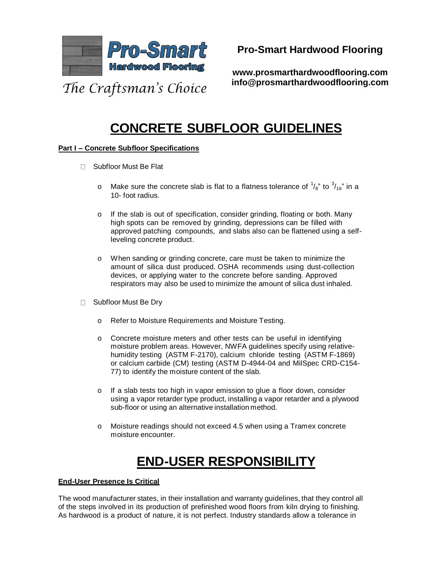

**www.prosmarthardwoodflooring.com info@prosmarthardwoodflooring.com**

# **CONCRETE SUBFLOOR GUIDELINES**

#### **Part I – Concrete Subfloor Specifications**

- □ Subfloor Must Be Flat
	- o Make sure the concrete slab is flat to a flatness tolerance of  $\frac{1}{8}$ " to  $\frac{3}{16}$ " in a 10- foot radius.
	- o If the slab is out of specification, consider grinding, floating or both. Many high spots can be removed by grinding, depressions can be filled with approved patching compounds, and slabs also can be flattened using a selfleveling concrete product.
	- o When sanding or grinding concrete, care must be taken to minimize the amount of silica dust produced. OSHA recommends using dust-collection devices, or applying water to the concrete before sanding. Approved respirators may also be used to minimize the amount of silica dust inhaled.
- □ Subfloor Must Be Dry
	- o Refer to Moisture Requirements and Moisture Testing.
	- o Concrete moisture meters and other tests can be useful in identifying moisture problem areas. However, NWFA guidelines specify using relativehumidity testing (ASTM F-2170), calcium chloride testing (ASTM F-1869) or calcium carbide (CM) testing (ASTM D-4944-04 and MilSpec CRD-C154- 77) to identify the moisture content of the slab.
	- o If a slab tests too high in vapor emission to glue a floor down, consider using a vapor retarder type product, installing a vapor retarder and a plywood sub-floor or using an alternative installation method.
	- o Moisture readings should not exceed 4.5 when using a Tramex concrete moisture encounter.

# **END-USER RESPONSIBILITY**

#### **End-User Presence Is Critical**

The wood manufacturer states, in their installation and warranty guidelines, that they control all of the steps involved in its production of prefinished wood floors from kiln drying to finishing. As hardwood is a product of nature, it is not perfect. Industry standards allow a tolerance in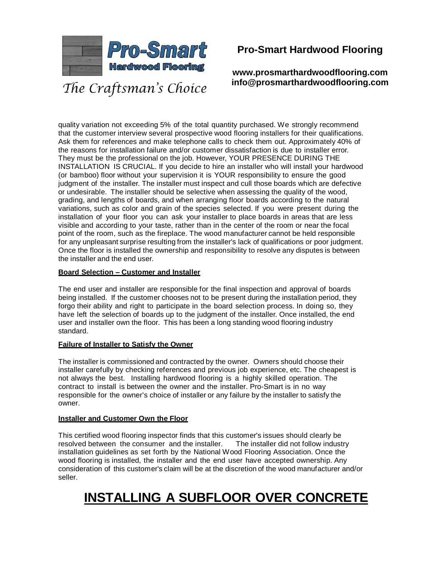

**Pro-Smart Hardwood Flooring**

**www.prosmarthardwoodflooring.com info@prosmarthardwoodflooring.com**

quality variation not exceeding 5% of the total quantity purchased. We strongly recommend that the customer interview several prospective wood flooring installers for their qualifications. Ask them for references and make telephone calls to check them out. Approximately 40% of the reasons for installation failure and/or customer dissatisfaction is due to installer error. They must be the professional on the job. However, YOUR PRESENCE DURING THE INSTALLATION IS CRUCIAL. If you decide to hire an installer who will install your hardwood (or bamboo) floor without your supervision it is YOUR responsibility to ensure the good judgment of the installer. The installer must inspect and cull those boards which are defective or undesirable. The installer should be selective when assessing the quality of the wood, grading, and lengths of boards, and when arranging floor boards according to the natural variations, such as color and grain of the species selected. If you were present during the installation of your floor you can ask your installer to place boards in areas that are less visible and according to your taste, rather than in the center of the room or near the focal point of the room, such as the fireplace. The wood manufacturer cannot be held responsible for any unpleasant surprise resulting from the installer's lack of qualifications or poor judgment. Once the floor is installed the ownership and responsibility to resolve any disputes is between the installer and the end user.

#### **Board Selection – Customer and Installer**

The end user and installer are responsible for the final inspection and approval of boards being installed. If the customer chooses not to be present during the installation period, they forgo their ability and right to participate in the board selection process. In doing so, they have left the selection of boards up to the judgment of the installer. Once installed, the end user and installer own the floor. This has been a long standing wood flooring industry standard.

#### **Failure of Installer to Satisfy the Owner**

The installer is commissioned and contracted by the owner. Owners should choose their installer carefully by checking references and previous job experience, etc. The cheapest is not always the best. Installing hardwood flooring is a highly skilled operation. The contract to install is between the owner and the installer. Pro-Smart is in no way responsible for the owner's choice of installer or any failure by the installer to satisfy the owner.

#### **Installer and Customer Own the Floor**

This certified wood flooring inspector finds that this customer's issues should clearly be resolved between the consumer and the installer. The installer did not follow industry installation guidelines as set forth by the National Wood Flooring Association. Once the wood flooring is installed, the installer and the end user have accepted ownership. Any consideration of this customer's claim will be at the discretion of the wood manufacturer and/or seller.

# **INSTALLING A SUBFLOOR OVER CONCRETE**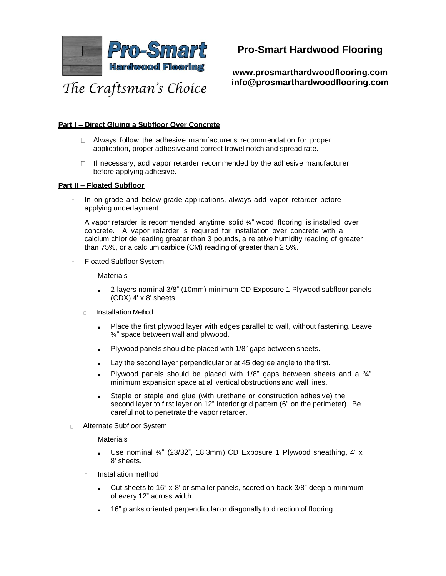

**www.prosmarthardwoodflooring.com info@prosmarthardwoodflooring.com**

#### **Part I – Direct Gluing a Subfloor Over Concrete**

- Always follow the adhesive manufacturer's recommendation for proper application, proper adhesive and correct trowel notch and spread rate.
- If necessary, add vapor retarder recommended by the adhesive manufacturer  $\Box$ before applying adhesive.

#### **Part II – Floated Subfloor**

- In on-grade and below-grade applications, always add vapor retarder before  $\Box$ applying underlayment.
- $\Box$ A vapor retarder is recommended anytime solid ¾" wood flooring is installed over concrete. A vapor retarder is required for installation over concrete with a calcium chloride reading greater than 3 pounds, a relative humidity reading of greater than 75%, or a calcium carbide (CM) reading of greater than 2.5%.
- Floated Subfloor System  $\Box$ 
	- **Materials**  $\Box$ 
		- 2 layers nominal 3/8" (10mm) minimum CD Exposure 1 Plywood subfloor panels (CDX) 4' x 8' sheets.
	- Installation Method:  $\Box$ 
		- Place the first plywood layer with edges parallel to wall, without fastening. Leave ¾" space between wall and plywood.
		- Plywood panels should be placed with 1/8" gaps between sheets.
		- Lay the second layer perpendicular or at 45 degree angle to the first.
		- Plywood panels should be placed with  $1/8$ " gaps between sheets and a  $\frac{3}{4}$ " minimum expansion space at all vertical obstructions and wall lines.
		- Staple or staple and glue (with urethane or construction adhesive) the second layer to first layer on 12" interior grid pattern (6" on the perimeter). Be careful not to penetrate the vapor retarder.
- Alternate Subfloor System
	- Materials  $\Box$ 
		- Use nominal 3/4" (23/32", 18.3mm) CD Exposure 1 Plywood sheathing, 4' x 8' sheets.
	- $\Box$ Installation method
		- Cut sheets to 16" x 8' or smaller panels, scored on back 3/8" deep a minimum of every 12" across width.
		- 16" planks oriented perpendicular or diagonally to direction of flooring.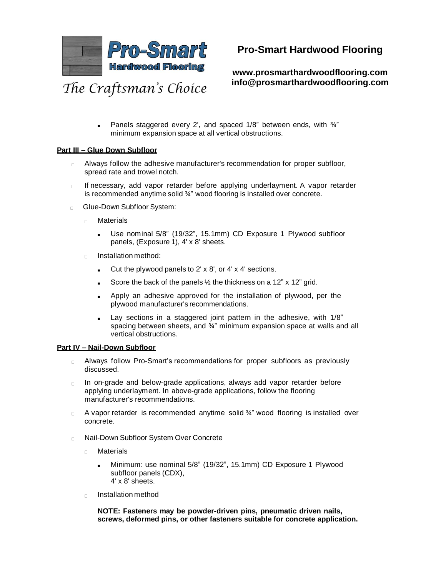

**www.prosmarthardwoodflooring.com info@prosmarthardwoodflooring.com**

Panels staggered every 2', and spaced  $1/8$ " between ends, with  $\frac{3}{4}$ " minimum expansion space at all vertical obstructions.

#### **Part III – Glue Down Subfloor**

- Always follow the adhesive manufacturer's recommendation for proper subfloor,  $\Box$ spread rate and trowel notch.
- If necessary, add vapor retarder before applying underlayment. A vapor retarder  $\Box$ is recommended anytime solid ¾" wood flooring is installed over concrete.
- Glue-Down Subfloor System:  $\Box$ 
	- $\Box$ **Materials** 
		- Use nominal 5/8" (19/32", 15.1mm) CD Exposure 1 Plywood subfloor panels, (Exposure 1), 4' x 8' sheets.
	- Installation method:  $\Box$ 
		- Cut the plywood panels to  $2' \times 8'$ , or  $4' \times 4'$  sections.
		- Score the back of the panels  $\frac{1}{2}$  the thickness on a 12" x 12" grid.
		- Apply an adhesive approved for the installation of plywood, per the plywood manufacturer's recommendations.
		- Lay sections in a staggered joint pattern in the adhesive, with 1/8" spacing between sheets, and 3/4" minimum expansion space at walls and all vertical obstructions.

#### **Part IV – Nail-Down Subfloor**

- Always follow Pro-Smart's recommendations for proper subfloors as previously  $\Box$ discussed.
- In on-grade and below-grade applications, always add vapor retarder before  $\Box$ applying underlayment. In above-grade applications, follow the flooring manufacturer's recommendations.
- A vapor retarder is recommended anytime solid  $\frac{3}{4}$ " wood flooring is installed over  $\Box$ concrete.
- Nail-Down Subfloor System Over Concrete  $\Box$ 
	- **Materials**  $\Box$ 
		- Minimum: use nominal 5/8" (19/32", 15.1mm) CD Exposure 1 Plywood subfloor panels (CDX), 4' x 8' sheets.
	- Installation method  $\Box$

**NOTE: Fasteners may be powder-driven pins, pneumatic driven nails, screws, deformed pins, or other fasteners suitable for concrete application.**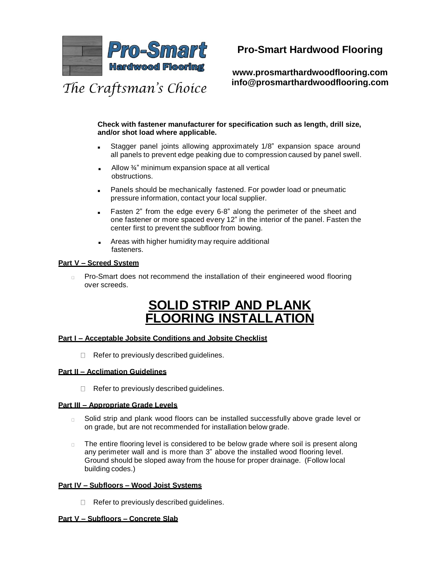

# **Pro-Smart Hardwood Flooring**

**www.prosmarthardwoodflooring.com info@prosmarthardwoodflooring.com**

**Check with fastener manufacturer for specification such as length, drill size, and/or shot load where applicable.**

- Stagger panel joints allowing approximately 1/8" expansion space around all panels to prevent edge peaking due to compression caused by panel swell.
- Allow  $\frac{3}{4}$ " minimum expansion space at all vertical obstructions.
- Panels should be mechanically fastened. For powder load or pneumatic pressure information, contact your local supplier.
- Fasten 2" from the edge every 6-8" along the perimeter of the sheet and one fastener or more spaced every 12" in the interior of the panel. Fasten the center first to prevent the subfloor from bowing.
- Areas with higher humidity may require additional fasteners.

#### **Part V – Screed System**

Pro-Smart does not recommend the installation of their engineered wood flooring  $\Box$ over screeds.

# **SOLID STRIP AND PLANK FOORING INSTAL**

#### **Part I – Acceptable Jobsite Conditions and Jobsite Checklist**

 $\Box$  Refer to previously described guidelines.

#### **Part II – Acclimation Guidelines**

 $\Box$  Refer to previously described guidelines.

#### **Part III – Appropriate Grade Levels**

- $\Box$ Solid strip and plank wood floors can be installed successfully above grade level or on grade, but are not recommended for installation below grade.
- The entire flooring level is considered to be below grade where soil is present along  $\Box$ any perimeter wall and is more than 3" above the installed wood flooring level. Ground should be sloped away from the house for proper drainage. (Follow local building codes.)

#### **Part IV – Subfloors – Wood Joist Systems**

 $\Box$  Refer to previously described guidelines.

#### **Part V – Subfloors – Concrete Slab**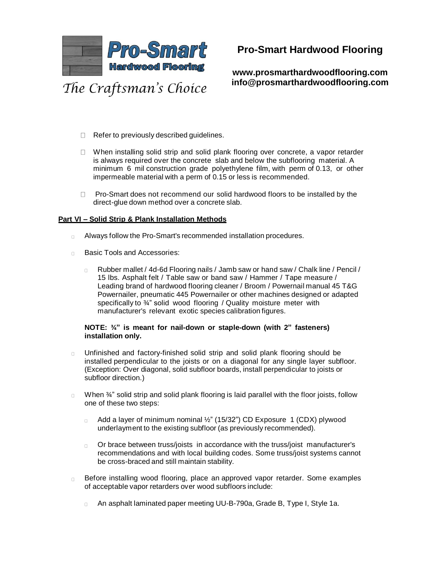

**www.prosmarthardwoodflooring.com info@prosmarthardwoodflooring.com**

- The Craftsman's Choice
	- □ Refer to previously described guidelines.
	- □ When installing solid strip and solid plank flooring over concrete, a vapor retarder is always required over the concrete slab and below the subflooring material. A minimum 6 mil construction grade polyethylene film, with perm of 0.13, or other impermeable material with a perm of 0.15 or less is recommended.
	- Pro-Smart does not recommend our solid hardwood floors to be installed by the  $\Box$ direct-glue down method over a concrete slab.

#### **Part VI – Solid Strip & Plank Installation Methods**

- Always follow the Pro-Smart's recommended installation procedures.  $\Box$
- Basic Tools and Accessories:  $\Box$ 
	- Rubber mallet / 4d-6d Flooring nails / Jamb saw or hand saw / Chalk line / Pencil /  $\Box$ 15 lbs. Asphalt felt / Table saw or band saw / Hammer / Tape measure / Leading brand of hardwood flooring cleaner / Broom / Powernail manual 45 T&G Powernailer, pneumatic 445 Powernailer or other machines designed or adapted specifically to 34" solid wood flooring / Quality moisture meter with manufacturer's relevant exotic species calibration figures.

#### **NOTE: ¾" is meant for nail-down or staple-down (with 2" fasteners) installation only.**

- Unfinished and factory-finished solid strip and solid plank flooring should be  $\Box$ installed perpendicular to the joists or on a diagonal for any single layer subfloor. (Exception: Over diagonal, solid subfloor boards, install perpendicular to joists or subfloor direction.)
- When  $\frac{3}{4}$ " solid strip and solid plank flooring is laid parallel with the floor joists, follow  $\Box$ one of these two steps:
	- Add a layer of minimum nominal ½" (15/32") CD Exposure 1 (CDX) plywood  $\Box$ underlayment to the existing subfloor (as previously recommended).
	- Or brace between truss/joists in accordance with the truss/joist manufacturer's  $\Box$ recommendations and with local building codes. Some truss/joist systems cannot be cross-braced and still maintain stability.
- Before installing wood flooring, place an approved vapor retarder. Some examples  $\Box$ of acceptable vapor retarders over wood subfloors include:
	- An asphalt laminated paper meeting UU-B-790a, Grade B, Type I, Style 1a. $\Box$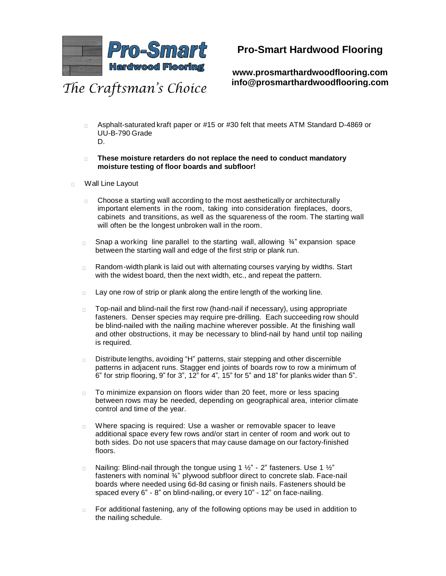

## **Pro-Smart Hardwood Flooring**

**www.prosmarthardwoodflooring.com info@prosmarthardwoodflooring.com**

- Asphalt-saturated kraft paper or #15 or #30 felt that meets ATM Standard D-4869 or  $\Box$ UU-B-790 Grade D.
- **These moisture retarders do not replace the need to conduct mandatory**   $\Box$  . **moisture testing of floor boards and subfloor!**
- Wall Line Layout  $\Box$ 
	- Choose a starting wall according to the most aesthetically or architecturally  $\Box$ important elements in the room, taking into consideration fireplaces, doors, cabinets and transitions, as well as the squareness of the room. The starting wall will often be the longest unbroken wall in the room.
	- Snap a working line parallel to the starting wall, allowing ¾" expansion space  $\Box$ between the starting wall and edge of the first strip or plank run.
	- Random-width plank is laid out with alternating courses varying by widths. Start  $\Box$ with the widest board, then the next width, etc., and repeat the pattern.
	- Lay one row of strip or plank along the entire length of the working line.  $\Box$
	- Top-nail and blind-nail the first row (hand-nail if necessary), using appropriate  $\Box$ fasteners. Denser species may require pre-drilling. Each succeeding row should be blind-nailed with the nailing machine wherever possible. At the finishing wall and other obstructions, it may be necessary to blind-nail by hand until top nailing is required.
	- Distribute lengths, avoiding "H" patterns, stair stepping and other discernible  $\Box$ patterns in adjacent runs. Stagger end joints of boards row to row a minimum of 6" for strip flooring, 9" for 3", 12" for 4", 15" for 5" and 18" for planks wider than 5".
	- To minimize expansion on floors wider than 20 feet, more or less spacing  $\Box$ between rows may be needed, depending on geographical area, interior climate control and time of the year.
	- Where spacing is required: Use a washer or removable spacer to leave  $\Box$ additional space every few rows and/or start in center of room and work out to both sides. Do not use spacers that may cause damage on our factory-finished floors.
	- Nailing: Blind-nail through the tongue using 1 ½" 2" fasteners. Use 1 ½"  $\Box$ fasteners with nominal ¾" plywood subfloor direct to concrete slab. Face-nail boards where needed using 6d-8d casing or finish nails. Fasteners should be spaced every 6" - 8" on blind-nailing, or every 10" - 12" on face-nailing.
	- For additional fastening, any of the following options may be used in addition to the nailing schedule.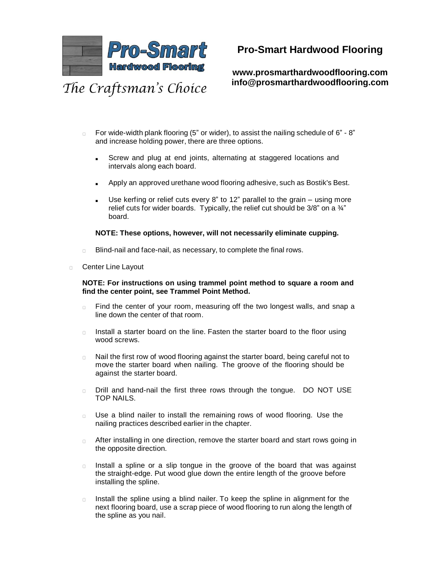

**www.prosmarthardwoodflooring.com info@prosmarthardwoodflooring.com**

- For wide-width plank flooring (5" or wider), to assist the nailing schedule of 6" 8" and increase holding power, there are three options.
	- Screw and plug at end joints, alternating at staggered locations and intervals along each board.
	- Apply an approved urethane wood flooring adhesive, such as Bostik's Best.
	- Use kerfing or relief cuts every 8" to 12" parallel to the grain  $-$  using more relief cuts for wider boards. Typically, the relief cut should be  $3/8$ " on a  $\frac{3}{4}$ " board.

#### **NOTE: These options, however, will not necessarily eliminate cupping.**

- Blind-nail and face-nail, as necessary, to complete the final rows.  $\Box$
- Center Line Layout  $\Box$

#### **NOTE: For instructions on using trammel point method to square a room and find the center point, see Trammel Point Method.**

- Find the center of your room, measuring off the two longest walls, and snap a  $\Box$ line down the center of that room.
- Install a starter board on the line. Fasten the starter board to the floor using  $\Box$ wood screws.
- Nail the first row of wood flooring against the starter board, being careful not to  $\Box$ move the starter board when nailing. The groove of the flooring should be against the starter board.
- Drill and hand-nail the first three rows through the tongue. DO NOT USE  $\Box$ TOP NAILS.
- Use a blind nailer to install the remaining rows of wood flooring. Use the  $\Box$ nailing practices described earlier in the chapter.
- After installing in one direction, remove the starter board and start rows going in  $\Box$ the opposite direction.
- Install a spline or a slip tongue in the groove of the board that was against  $\Box$ the straight-edge. Put wood glue down the entire length of the groove before installing the spline.
- $\Box$ Install the spline using a blind nailer. To keep the spline in alignment for the next flooring board, use a scrap piece of wood flooring to run along the length of the spline as you nail.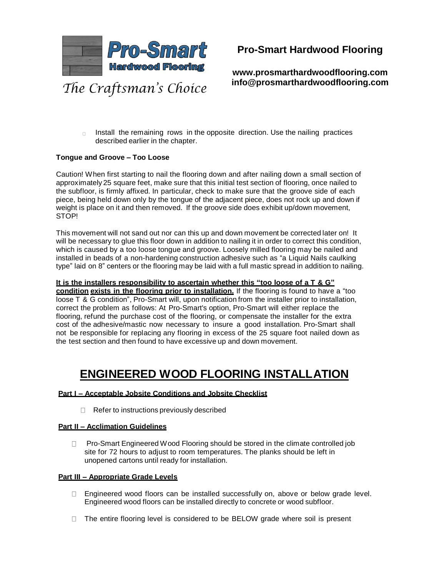

**www.prosmarthardwoodflooring.com info@prosmarthardwoodflooring.com**

Install the remaining rows in the opposite direction. Use the nailing practices  $n$ described earlier in the chapter.

#### **Tongue and Groove – Too Loose**

Caution! When first starting to nail the flooring down and after nailing down a small section of approximately 25 square feet, make sure that this initial test section of flooring, once nailed to the subfloor, is firmly affixed. In particular, check to make sure that the groove side of each piece, being held down only by the tongue of the adjacent piece, does not rock up and down if weight is place on it and then removed. If the groove side does exhibit up/down movement, STOP!

This movement will not sand out nor can this up and down movement be corrected later on! It will be necessary to glue this floor down in addition to nailing it in order to correct this condition, which is caused by a too loose tongue and groove. Loosely milled flooring may be nailed and installed in beads of a non-hardening construction adhesive such as "a Liquid Nails caulking type" laid on 8" centers or the flooring may be laid with a full mastic spread in addition to nailing.

#### **It is the installers responsibility to ascertain whether this "too loose of a T & G"**

**condition exists in the flooring prior to installation.** If the flooring is found to have a "too loose T & G condition", Pro-Smart will, upon notification from the installer prior to installation, correct the problem as follows: At Pro-Smart's option, Pro-Smart will either replace the flooring, refund the purchase cost of the flooring, or compensate the installer for the extra cost of the adhesive/mastic now necessary to insure a good installation. Pro-Smart shall not be responsible for replacing any flooring in excess of the 25 square foot nailed down as the test section and then found to have excessive up and down movement.

# **ENGINEERED WOOD FLOORING INSTALLATION**

#### **Part I – Acceptable Jobsite Conditions and Jobsite Checklist**

 $\Box$  Refer to instructions previously described

#### **Part II – Acclimation Guidelines**

□ Pro-Smart Engineered Wood Flooring should be stored in the climate controlled job site for 72 hours to adjust to room temperatures. The planks should be left in unopened cartons until ready for installation.

#### **Part III – Appropriate Grade Levels**

- □ Engineered wood floors can be installed successfully on, above or below grade level. Engineered wood floors can be installed directly to concrete or wood subfloor.
- □ The entire flooring level is considered to be BELOW grade where soil is present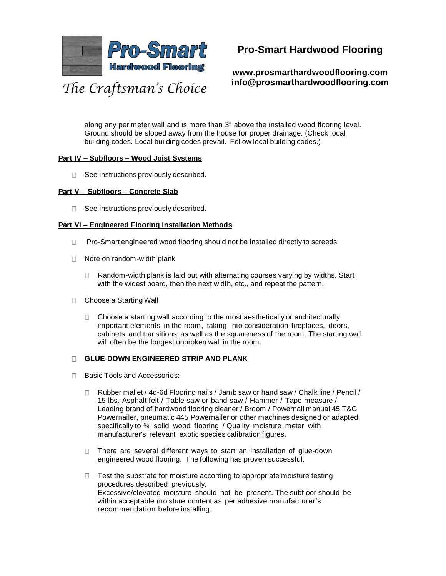

**www.prosmarthardwoodflooring.com info@prosmarthardwoodflooring.com**

along any perimeter wall and is more than 3" above the installed wood flooring level. Ground should be sloped away from the house for proper drainage. (Check local building codes. Local building codes prevail. Follow local building codes.)

#### **Part IV – Subfloors – Wood Joist Systems**

 $\Box$  See instructions previously described.

#### **Part V – Subfloors – Concrete Slab**

 $\Box$  See instructions previously described.

#### **Part VI – Engineered Flooring Installation Methods**

- $\Box$  Pro-Smart engineered wood flooring should not be installed directly to screeds.
- $\Box$  Note on random-width plank
	- □ Random-width plank is laid out with alternating courses varying by widths. Start with the widest board, then the next width, etc., and repeat the pattern.
- □ Choose a Starting Wall
	- $\Box$  Choose a starting wall according to the most aesthetically or architecturally important elements in the room, taking into consideration fireplaces, doors, cabinets and transitions, as well as the squareness of the room. The starting wall will often be the longest unbroken wall in the room.

#### **GLUE-DOWN ENGINEERED STRIP AND PLANK**

- □ Basic Tools and Accessories:
	- □ Rubber mallet / 4d-6d Flooring nails / Jamb saw or hand saw / Chalk line / Pencil / 15 lbs. Asphalt felt / Table saw or band saw / Hammer / Tape measure / Leading brand of hardwood flooring cleaner / Broom / Powernail manual 45 T&G Powernailer, pneumatic 445 Powernailer or other machines designed or adapted specifically to <sup>3</sup>/4" solid wood flooring / Quality moisture meter with manufacturer's relevant exotic species calibration figures.
	- $\Box$  There are several different ways to start an installation of glue-down engineered wood flooring. The following has proven successful.
	- $\Box$  Test the substrate for moisture according to appropriate moisture testing procedures described previously. Excessive/elevated moisture should not be present. The subfloor should be within acceptable moisture content as per adhesive manufacturer's recommendation before installing.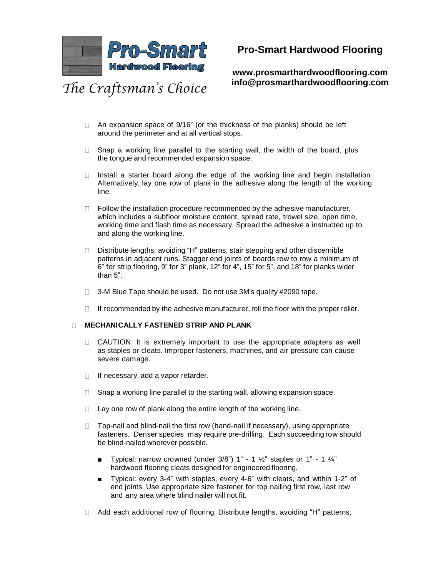

# **Pro-Smart Hardwood Flooring**

**www.prosmarthardwoodflooring.com info@prosmarthardwoodflooring.com**

- $\Box$  An expansion space of 9/16" (or the thickness of the planks) should be left around the perimeter and at all vertical stops.
- $\Box$  Snap a working line parallel to the starting wall, the width of the board, plus the tongue and recommended expansion space.
- $\Box$  Install a starter board along the edge of the working line and begin installation. Alternatively, lay one row of plank in the adhesive along the length of the working line.
- $\Box$  Follow the installation procedure recommended by the adhesive manufacturer, which includes a subfloor moisture content, spread rate, trowel size, open time, working time and flash time as necessary. Spread the adhesive a instructed up to and along the working line.
- □ Distribute lengths, avoiding "H" patterns, stair stepping and other discernible patterns in adjacent runs. Stagger end joints of boards row to row a minimum of 6" for strip flooring, 9" for 3" plank, 12" for 4", 15" for 5", and 18" for planks wider than 5".
- $\Box$ 3-M Blue Tape should be used. Do not use 3M's quality #2090 tape.
- If recommended by the adhesive manufacturer, roll the floor with the proper roller.  $\Box$

#### **MECHANICALLY FASTENED STRIP AND PLANK**  $\Box$

- $\Box$  CAUTION: It is extremely important to use the appropriate adapters as well as staples or cleats. Improper fasteners, machines, and air pressure can cause severe damage.
- $\Box$  If necessary, add a vapor retarder.
- Snap a working line parallel to the starting wall, allowing expansion space.  $\Box$
- Lay one row of plank along the entire length of the working line.  $\Box$
- $\Box$  Top-nail and blind-nail the first row (hand-nail if necessary), using appropriate fasteners. Denser species may require pre-drilling. Each succeeding row should be blind-nailed wherever possible.
	- **■** Typical: narrow crowned (under  $3/8$ ") 1" 1  $\frac{1}{2}$ " staples or 1" 1  $\frac{1}{4}$ " hardwood flooring cleats designed for engineered flooring.
	- Typical: every 3-4" with staples, every 4-6" with cleats, and within 1-2" of end joints. Use appropriate size fastener for top nailing first row, last row and any area where blind nailer will not fit.
- □ Add each additional row of flooring. Distribute lengths, avoiding "H" patterns,